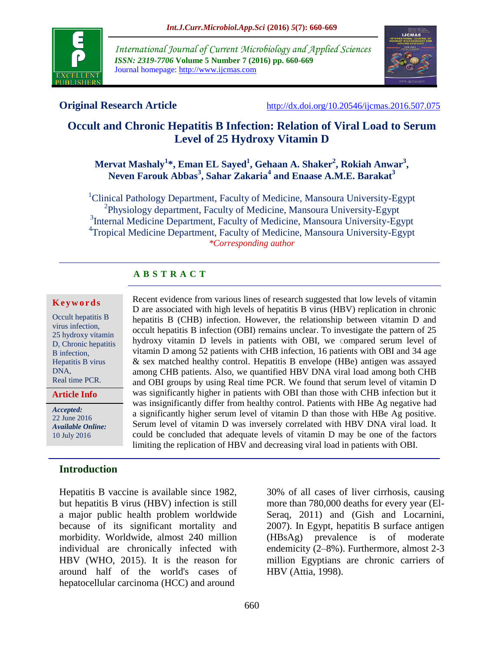

*International Journal of Current Microbiology and Applied Sciences ISSN: 2319-7706* **Volume 5 Number 7 (2016) pp. 660-669** Journal homepage: http://www.ijcmas.com



**Original Research Article** <http://dx.doi.org/10.20546/ijcmas.2016.507.075>

# **Occult and Chronic Hepatitis B Infection: Relation of Viral Load to Serum Level of 25 Hydroxy Vitamin D**

#### **Mervat Mashaly<sup>1</sup> \*, Eman EL Sayed<sup>1</sup> , Gehaan A. Shaker<sup>2</sup> , Rokiah Anwar<sup>3</sup> , Neven Farouk Abbas<sup>3</sup> , Sahar Zakaria<sup>4</sup> and Enaase A.M.E. Barakat<sup>3</sup>**

<sup>1</sup>Clinical Pathology Department, Faculty of Medicine, Mansoura University-Egypt <sup>2</sup>Physiology department, Faculty of Medicine, Mansoura University-Egypt <sup>3</sup>Internal Medicine Department, Faculty of Medicine, Mansoura University-Egypt <sup>4</sup>Tropical Medicine Department, Faculty of Medicine, Mansoura University-Egypt *\*Corresponding author*

# **A B S T R A C T**

#### **K e y w o r d s**

Occult hepatitis B virus infection, 25 hydroxy vitamin D, Chronic hepatitis B infection, Hepatitis B virus DNA, Real time PCR.

**Article Info**

*Accepted:*  22 June 2016 *Available Online:* 10 July 2016

#### **Introduction**

Hepatitis B vaccine is available since 1982, but hepatitis B virus (HBV) infection is still a major public health problem worldwide because of its significant mortality and morbidity. Worldwide, almost 240 million individual are chronically infected with HBV (WHO, 2015). It is the reason for around half of the world's cases of hepatocellular carcinoma (HCC) and around

Recent evidence from various lines of research suggested that low levels of vitamin D are associated with high levels of hepatitis B virus (HBV) replication in chronic hepatitis B (CHB) infection. However, the relationship between vitamin D and occult hepatitis B infection (OBI) remains unclear. To investigate the pattern of 25 hydroxy vitamin D levels in patients with OBI, we compared serum level of vitamin D among 52 patients with CHB infection, 16 patients with OBI and 34 age & sex matched healthy control. Hepatitis B envelope (HBe) antigen was assayed among CHB patients. Also, we quantified HBV DNA viral load among both CHB and OBI groups by using Real time PCR. We found that serum level of vitamin D was significantly higher in patients with OBI than those with CHB infection but it was insignificantly differ from healthy control. Patients with HBe Ag negative had a significantly higher serum level of vitamin D than those with HBe Ag positive. Serum level of vitamin D was inversely correlated with HBV DNA viral load. It could be concluded that adequate levels of vitamin D may be one of the factors limiting the replication of HBV and decreasing viral load in patients with OBI.

> 30% of all cases of liver cirrhosis, causing more than 780,000 deaths for every year (El-Seraq, 2011) and (Gish and Locarnini, 2007). In Egypt, hepatitis B surface antigen (HBsAg) prevalence is of moderate endemicity (2–8%). Furthermore, almost 2-3 million Egyptians are chronic carriers of HBV (Attia, 1998).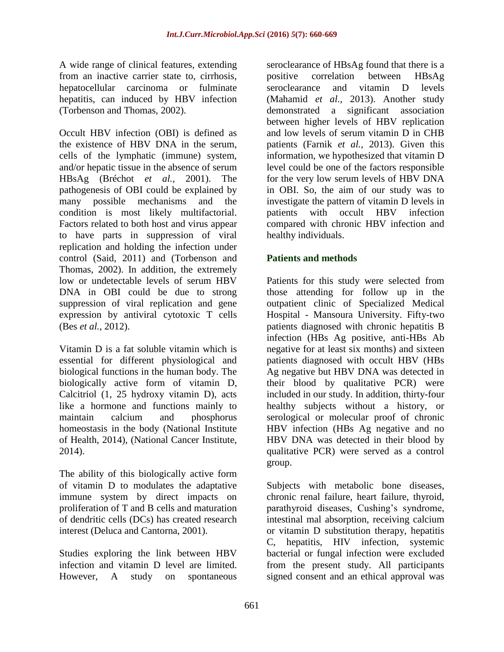A wide range of clinical features, extending from an inactive carrier state to, cirrhosis, hepatocellular carcinoma or fulminate hepatitis, can induced by HBV infection (Torbenson and Thomas, 2002).

Occult HBV infection (OBI) is defined as the existence of HBV DNA in the serum, cells of the lymphatic (immune) system, and/or hepatic tissue in the absence of serum HBsAg (Bréchot *et al.,* 2001). The pathogenesis of OBI could be explained by many possible mechanisms and the condition is most likely multifactorial. Factors related to both host and virus appear to have parts in suppression of viral replication and holding the infection under control (Said, 2011) and (Torbenson and Thomas, 2002). In addition, the extremely low or undetectable levels of serum HBV DNA in OBI could be due to strong suppression of viral replication and gene expression by antiviral cytotoxic T cells (Bes *et al.,* 2012).

Vitamin D is a fat soluble vitamin which is essential for different physiological and biological functions in the human body. The biologically active form of vitamin D, Calcitriol (1, 25 hydroxy vitamin D), acts like a hormone and functions mainly to maintain calcium and phosphorus homeostasis in the body (National Institute of Health, 2014), (National Cancer Institute, 2014).

The ability of this biologically active form of vitamin D to modulates the adaptative immune system by direct impacts on proliferation of T and B cells and maturation of dendritic cells (DCs) has created research interest (Deluca and Cantorna, 2001).

Studies exploring the link between HBV infection and vitamin D level are limited. However, A study on spontaneous seroclearance of HBsAg found that there is a positive correlation between HBsAg seroclearance and vitamin D levels (Mahamid *et al.,* 2013). Another study demonstrated a significant association between higher levels of HBV replication and low levels of serum vitamin D in CHB patients (Farnik *et al.,* 2013). Given this information, we hypothesized that vitamin D level could be one of the factors responsible for the very low serum levels of HBV DNA in OBI. So, the aim of our study was to investigate the pattern of vitamin D levels in patients with occult HBV infection compared with chronic HBV infection and healthy individuals.

# **Patients and methods**

Patients for this study were selected from those attending for follow up in the outpatient clinic of Specialized Medical Hospital - Mansoura University. Fifty-two patients diagnosed with chronic hepatitis B infection (HBs Ag positive, anti-HBs Ab negative for at least six months) and sixteen patients diagnosed with occult HBV (HBs Ag negative but HBV DNA was detected in their blood by qualitative PCR) were included in our study. In addition, thirty-four healthy subjects without a history, or serological or molecular proof of chronic HBV infection (HBs Ag negative and no HBV DNA was detected in their blood by qualitative PCR) were served as a control group.

Subjects with metabolic bone diseases, chronic renal failure, heart failure, thyroid, parathyroid diseases, Cushing's syndrome, intestinal mal absorption, receiving calcium or vitamin D substitution therapy, hepatitis C, hepatitis, HIV infection, systemic bacterial or fungal infection were excluded from the present study. All participants signed consent and an ethical approval was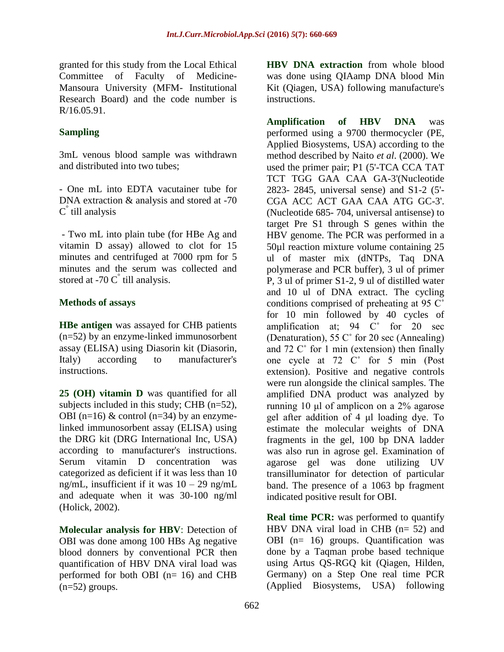granted for this study from the Local Ethical Committee of Faculty of Medicine-Mansoura University (MFM- Institutional Research Board) and the code number is R/16.05.91.

# **Sampling**

3mL venous blood sample was withdrawn and distributed into two tubes;

- One mL into EDTA vacutainer tube for DNA extraction & analysis and stored at -70 C ° till analysis

- Two mL into plain tube (for HBe Ag and vitamin D assay) allowed to clot for 15 minutes and centrifuged at 7000 rpm for 5 minutes and the serum was collected and stored at -70  $C^{\degree}$  till analysis.

# **Methods of assays**

**HBe antigen** was assayed for CHB patients (n=52) by an enzyme-linked immunosorbent assay (ELISA) using Diasorin kit (Diasorin, Italy) according to manufacturer's instructions.

**25 (OH) vitamin D** was quantified for all subjects included in this study; CHB (n=52), OBI (n=16)  $&$  control (n=34) by an enzymelinked immunosorbent assay (ELISA) using the DRG kit (DRG International Inc, USA) according to manufacturer's instructions. Serum vitamin D concentration was categorized as deficient if it was less than 10 ng/mL, insufficient if it was  $10 - 29$  ng/mL and adequate when it was 30-100 ng/ml (Holick, 2002).

**Molecular analysis for HBV**: Detection of OBI was done among 100 HBs Ag negative blood donners by conventional PCR then quantification of HBV DNA viral load was performed for both OBI (n= 16) and CHB  $(n=52)$  groups.

**HBV DNA extraction** from whole blood was done using QIAamp DNA blood Min Kit (Qiagen, USA) following manufacture's instructions.

**Amplification of HBV DNA** was performed using a 9700 thermocycler (PE, Applied Biosystems, USA) according to the method described by Naito *et al*. (2000). We used the primer pair; P1 (5'-TCA CCA TAT TCT TGG GAA CAA GA-3'(Nucleotide 2823- 2845, universal sense) and S1-2 (5'- CGA ACC ACT GAA CAA ATG GC-3'. (Nucleotide 685- 704, universal antisense) to target Pre S1 through S genes within the HBV genome. The PCR was performed in a 50µl reaction mixture volume containing 25 ul of master mix (dNTPs, Taq DNA polymerase and PCR buffer), 3 ul of primer P, 3 ul of primer S1-2, 9 ul of distilled water and 10 ul of DNA extract. The cycling conditions comprised of preheating at 95 C˚ for 10 min followed by 40 cycles of amplification at;  $94 \, \text{C}^\circ$  for  $20 \, \text{sec}$ (Denaturation), 55 C˚ for 20 sec (Annealing) and 72 C˚ for 1 min (extension) then finally one cycle at 72 C˚ for 5 min (Post extension). Positive and negative controls were run alongside the clinical samples. The amplified DNA product was analyzed by running 10 μl of amplicon on a 2% agarose gel after addition of 4 μl loading dye. To estimate the molecular weights of DNA fragments in the gel, 100 bp DNA ladder was also run in agrose gel. Examination of agarose gel was done utilizing UV transilluminator for detection of particular band. The presence of a 1063 bp fragment indicated positive result for OBI.

**Real time PCR:** was performed to quantify HBV DNA viral load in CHB (n= 52) and OBI (n= 16) groups. Quantification was done by a Taqman probe based technique using Artus QS-RGQ kit (Qiagen, Hilden, Germany) on a Step One real time PCR (Applied Biosystems, USA) following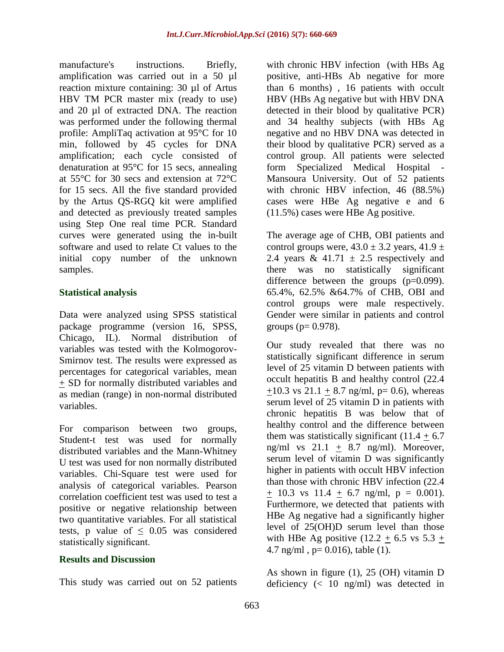manufacture's instructions. Briefly, amplification was carried out in a 50 µl reaction mixture containing: 30 µl of Artus HBV TM PCR master mix (ready to use) and 20 ul of extracted DNA. The reaction was performed under the following thermal profile: AmpliTaq activation at 95°C for 10 min, followed by 45 cycles for DNA amplification; each cycle consisted of denaturation at 95°C for 15 secs, annealing at 55°C for 30 secs and extension at 72°C for 15 secs. All the five standard provided by the Artus QS-RGQ kit were amplified and detected as previously treated samples using Step One real time PCR. Standard curves were generated using the in-built software and used to relate Ct values to the initial copy number of the unknown samples.

#### **Statistical analysis**

Data were analyzed using SPSS statistical package programme (version 16, SPSS, Chicago, IL). Normal distribution of variables was tested with the Kolmogorov-Smirnov test. The results were expressed as percentages for categorical variables, mean + SD for normally distributed variables and as median (range) in non-normal distributed variables.

For comparison between two groups, Student-t test was used for normally distributed variables and the Mann-Whitney U test was used for non normally distributed variables. Chi-Square test were used for analysis of categorical variables. Pearson correlation coefficient test was used to test a positive or negative relationship between two quantitative variables. For all statistical tests, p value of  $\leq$  0.05 was considered statistically significant.

#### **Results and Discussion**

This study was carried out on 52 patients

with chronic HBV infection (with HBs Ag positive, anti-HBs Ab negative for more than 6 months) , 16 patients with occult HBV (HBs Ag negative but with HBV DNA detected in their blood by qualitative PCR) and 34 healthy subjects (with HBs Ag negative and no HBV DNA was detected in their blood by qualitative PCR) served as a control group. All patients were selected form Specialized Medical Hospital Mansoura University. Out of 52 patients with chronic HBV infection, 46 (88.5%) cases were HBe Ag negative e and 6 (11.5%) cases were HBe Ag positive.

The average age of CHB, OBI patients and control groups were,  $43.0 \pm 3.2$  years,  $41.9 \pm 1.2$ 2.4 years & 41.71  $\pm$  2.5 respectively and there was no statistically significant difference between the groups (p=0.099). 65.4%, 62.5% &64.7% of CHB, OBI and control groups were male respectively. Gender were similar in patients and control groups ( $p= 0.978$ ).

Our study revealed that there was no statistically significant difference in serum level of 25 vitamin D between patients with occult hepatitis B and healthy control (22.4  $+10.3$  vs  $21.1 + 8.7$  ng/ml, p= 0.6), whereas serum level of 25 vitamin D in patients with chronic hepatitis B was below that of healthy control and the difference between them was statistically significant  $(11.4 + 6.7)$ ng/ml vs  $21.1 + 8.7$  ng/ml). Moreover, serum level of vitamin D was significantly higher in patients with occult HBV infection than those with chronic HBV infection (22.4  $\pm$  10.3 vs 11.4  $\pm$  6.7 ng/ml, p = 0.001). Furthermore, we detected that patients with HBe Ag negative had a significantly higher level of 25(OH)D serum level than those with HBe Ag positive  $(12.2 + 6.5 \text{ vs } 5.3 +$ 4.7 ng/ml,  $p= 0.016$ ), table (1).

As shown in figure (1), 25 (OH) vitamin D deficiency (< 10 ng/ml) was detected in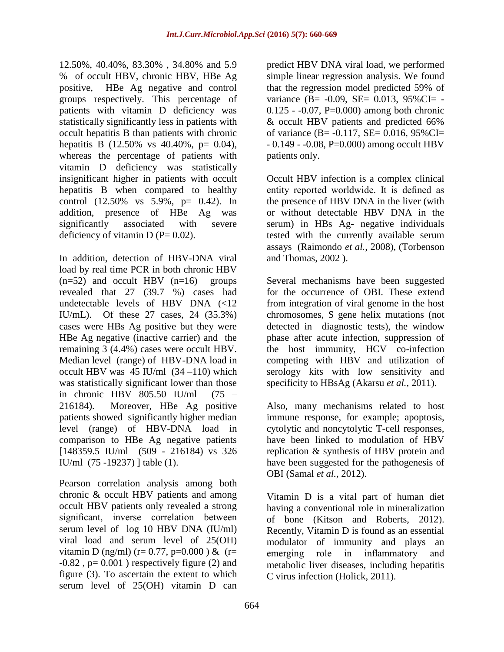12.50%, 40.40%, 83.30% , 34.80% and 5.9 % of occult HBV, chronic HBV, HBe Ag positive, HBe Ag negative and control groups respectively. This percentage of patients with vitamin D deficiency was statistically significantly less in patients with occult hepatitis B than patients with chronic hepatitis B (12.50% vs 40.40%, p= 0.04), whereas the percentage of patients with vitamin D deficiency was statistically insignificant higher in patients with occult hepatitis B when compared to healthy control (12.50% vs 5.9%, p= 0.42). In addition, presence of HBe Ag was significantly associated with severe deficiency of vitamin D ( $P = 0.02$ ).

In addition, detection of HBV-DNA viral load by real time PCR in both chronic HBV  $(n=52)$  and occult HBV  $(n=16)$  groups revealed that 27 (39.7 %) cases had undetectable levels of HBV DNA (<12 IU/mL). Of these 27 cases, 24 (35.3%) cases were HBs Ag positive but they were HBe Ag negative (inactive carrier) and the remaining 3 (4.4%) cases were occult HBV. Median level (range) of HBV-DNA load in occult HBV was  $45$  IU/ml  $(34 -110)$  which was statistically significant lower than those in chronic HBV 805.50 IU/ml (75 – 216184). Moreover, HBe Ag positive patients showed significantly higher median level (range) of HBV-DNA load in comparison to HBe Ag negative patients [148359.5 IU/ml (509 - 216184) vs 326 IU/ml (75 -19237) ] table (1).

Pearson correlation analysis among both chronic & occult HBV patients and among occult HBV patients only revealed a strong significant, inverse correlation between serum level of log 10 HBV DNA (IU/ml) viral load and serum level of 25(OH) vitamin D (ng/ml) (r= 0.77, p=0.000) & (r=  $-0.82$ ,  $p= 0.001$ ) respectively figure (2) and figure (3). To ascertain the extent to which serum level of 25(OH) vitamin D can

predict HBV DNA viral load, we performed simple linear regression analysis. We found that the regression model predicted 59% of variance (B= -0.09, SE= 0.013, 95%CI= - $0.125 - 0.07$ , P=0.000) among both chronic & occult HBV patients and predicted 66% of variance (B=  $-0.117$ , SE= 0.016, 95%CI=  $-0.149 - 0.08$ , P=0.000) among occult HBV patients only.

Occult HBV infection is a complex clinical entity reported worldwide. It is defined as the presence of HBV DNA in the liver (with or without detectable HBV DNA in the serum) in HBs Ag- negative individuals tested with the currently available serum assays (Raimondo *et al.,* 2008), (Torbenson and Thomas, 2002 ).

Several mechanisms have been suggested for the occurrence of OBI. These extend from integration of viral genome in the host chromosomes, S gene helix mutations (not detected in diagnostic tests), the window phase after acute infection, suppression of the host immunity, HCV co-infection competing with HBV and utilization of serology kits with low sensitivity and specificity to HBsAg (Akarsu *et al.,* 2011).

Also, many mechanisms related to host immune response, for example; apoptosis, cytolytic and noncytolytic T-cell responses, have been linked to modulation of HBV replication & synthesis of HBV protein and have been suggested for the pathogenesis of OBI (Samal *et al.,* 2012).

Vitamin D is a vital part of human diet having a conventional role in mineralization of bone (Kitson and Roberts, 2012). Recently, Vitamin D is found as an essential modulator of immunity and plays an emerging role in inflammatory and metabolic liver diseases, including hepatitis C virus infection (Holick, 2011).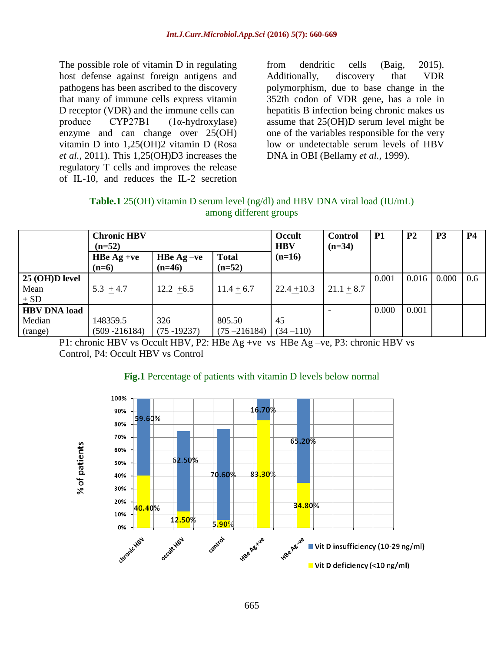The possible role of vitamin D in regulating host defense against foreign antigens and pathogens has been ascribed to the discovery that many of immune cells express vitamin D receptor (VDR) and the immune cells can produce CYP27B1 (1α-hydroxylase) enzyme and can change over 25(OH) vitamin D into 1,25(OH)2 vitamin D (Rosa *et al.,* 2011). This 1,25(OH)D3 increases the regulatory T cells and improves the release of IL-10, and reduces the IL-2 secretion

from dendritic cells (Baig, 2015). Additionally, discovery that VDR polymorphism, due to base change in the 352th codon of VDR gene, has a role in hepatitis B infection being chronic makes us assume that 25(OH)D serum level might be one of the variables responsible for the very low or undetectable serum levels of HBV DNA in OBI (Bellamy *et al.,* 1999).

| <b>Table.1</b> 25(OH) vitamin D serum level $(ng/dl)$ and HBV DNA viral load (IU/mL) |  |
|--------------------------------------------------------------------------------------|--|
| among different groups                                                               |  |

|                                          | <b>Chronic HBV</b><br>$(n=52)$ |                          |                           | Occult<br><b>HBV</b> | <b>Control</b><br>$(n=34)$ | <b>P1</b> | P <sub>2</sub> | P <sub>3</sub> | <b>P4</b> |
|------------------------------------------|--------------------------------|--------------------------|---------------------------|----------------------|----------------------------|-----------|----------------|----------------|-----------|
|                                          | HBe $Ag + ve$<br>$(n=6)$       | HBe $Ag -ve$<br>$(n=46)$ | <b>Total</b><br>$(n=52)$  | $(n=16)$             |                            |           |                |                |           |
| 25 (OH)D level<br>Mean<br>$\pm$ SD       | $5.3 + 4.7$                    | $12.2 + 6.5$             | $11.4 + 6.7$              | $22.4 + 10.3$        | $21.1 + 8.7$               | 0.001     | 0.016          | 0.000          | 0.6       |
| <b>HBV DNA load</b><br>Median<br>(range) | 148359.5<br>$(509 - 216184)$   | 326<br>$(75 - 19237)$    | 805.50<br>$(75 - 216184)$ | 45<br>$(34 - 110)$   |                            | 0.000     | 0.001          |                |           |

P1: chronic HBV vs Occult HBV, P2: HBe Ag +ve vs HBe Ag –ve, P3: chronic HBV vs Control, P4: Occult HBV vs Control



#### **Fig.1** Percentage of patients with vitamin D levels below normal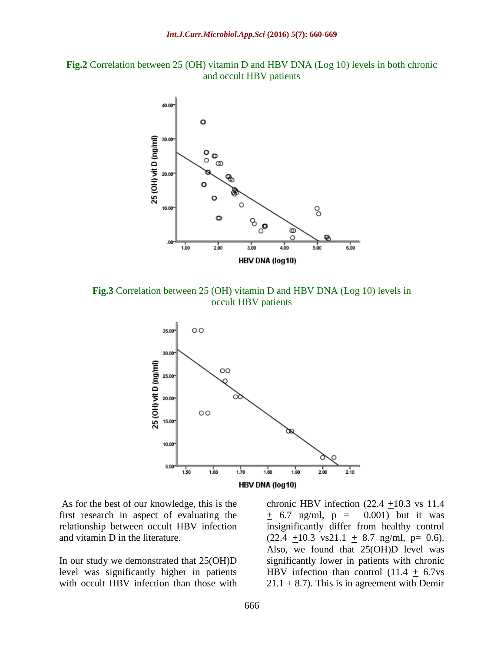



**Fig.3** Correlation between 25 (OH) vitamin D and HBV DNA (Log 10) levels in occult HBV patients



As for the best of our knowledge, this is the first research in aspect of evaluating the relationship between occult HBV infection and vitamin D in the literature.

In our study we demonstrated that 25(OH)D level was significantly higher in patients with occult HBV infection than those with chronic HBV infection  $(22.4 +10.3$  vs 11.4  $\pm$  6.7 ng/ml, p = 0.001) but it was insignificantly differ from healthy control  $(22.4 +10.3 \text{ vs } 21.1 + 8.7 \text{ ng/ml}, \text{ p} = 0.6).$ Also, we found that 25(OH)D level was significantly lower in patients with chronic HBV infection than control  $(11.4 + 6.7v_s)$ 21.1  $\pm$  8.7). This is in agreement with Demir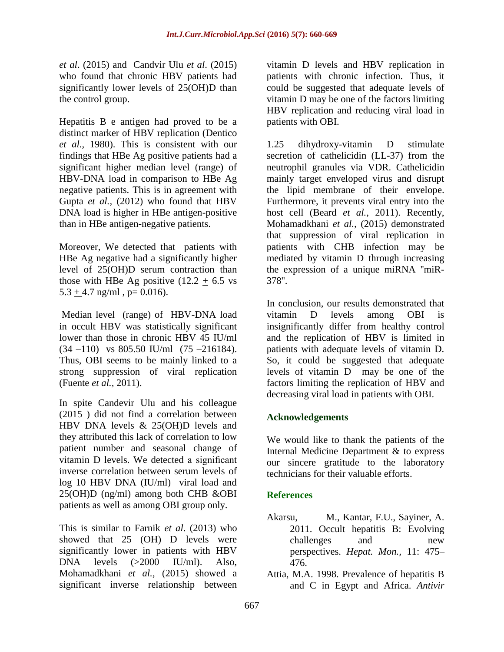*et al*. (2015) and Candvir Ulu *et al*. (2015) who found that chronic HBV patients had significantly lower levels of 25(OH)D than the control group.

Hepatitis B e antigen had proved to be a distinct marker of HBV replication (Dentico *et al.,* 1980). This is consistent with our findings that HBe Ag positive patients had a significant higher median level (range) of HBV-DNA load in comparison to HBe Ag negative patients. This is in agreement with Gupta *et al.,* (2012) who found that HBV DNA load is higher in HBe antigen-positive than in HBe antigen-negative patients.

Moreover, We detected that patients with HBe Ag negative had a significantly higher level of 25(OH)D serum contraction than those with HBe Ag positive  $(12.2 \pm 6.5 \text{ vs }$  $5.3 + 4.7$  ng/ml, p= 0.016).

Median level (range) of HBV-DNA load in occult HBV was statistically significant lower than those in chronic HBV 45 IU/ml (34 –110) vs 805.50 IU/ml (75 –216184). Thus, OBI seems to be mainly linked to a strong suppression of viral replication (Fuente *et al.,* 2011).

In spite Candevir Ulu and his colleague (2015 ) did not find a correlation between HBV DNA levels & 25(OH)D levels and they attributed this lack of correlation to low patient number and seasonal change of vitamin D levels. We detected a significant inverse correlation between serum levels of log 10 HBV DNA (IU/ml) viral load and 25(OH)D (ng/ml) among both CHB &OBI patients as well as among OBI group only.

This is similar to Farnik *et al*. (2013) who showed that 25 (OH) D levels were significantly lower in patients with HBV DNA levels (>2000 IU/ml). Also, Mohamadkhani *et al.,* (2015) showed a significant inverse relationship between

vitamin D levels and HBV replication in patients with chronic infection. Thus, it could be suggested that adequate levels of vitamin D may be one of the factors limiting HBV replication and reducing viral load in patients with OBI.

1.25 dihydroxy-vitamin D stimulate secretion of cathelicidin (LL-37) from the neutrophil granules via VDR. Cathelicidin mainly target enveloped virus and disrupt the lipid membrane of their envelope. Furthermore, it prevents viral entry into the host cell (Beard *et al.,* 2011). Recently, Mohamadkhani *et al.,* (2015) demonstrated that suppression of viral replication in patients with CHB infection may be mediated by vitamin D through increasing the expression of a unique miRNA ''miR-378''.

In conclusion, our results demonstrated that vitamin D levels among OBI is insignificantly differ from healthy control and the replication of HBV is limited in patients with adequate levels of vitamin D. So, it could be suggested that adequate levels of vitamin D may be one of the factors limiting the replication of HBV and decreasing viral load in patients with OBI.

# **Acknowledgements**

We would like to thank the patients of the Internal Medicine Department & to express our sincere gratitude to the laboratory technicians for their valuable efforts.

# **References**

- Akarsu, M., Kantar, F.U., Sayiner, A. 2011. Occult hepatitis B: Evolving challenges and new perspectives. *Hepat. Mon.,* 11: 475– 476.
- Attia, M.A. 1998. Prevalence of hepatitis B and C in Egypt and Africa. *Antivir*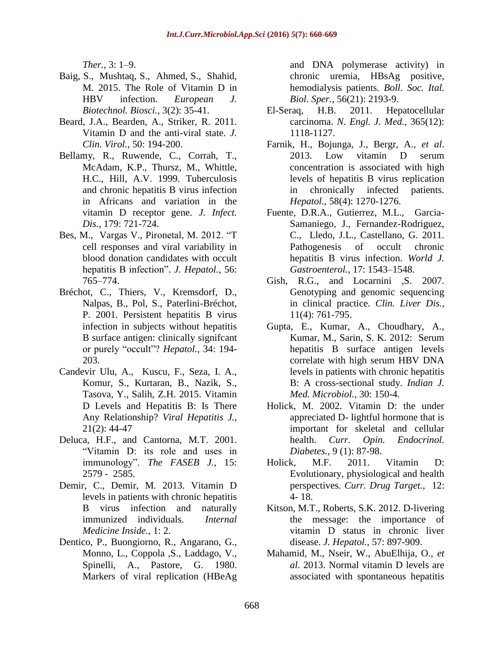*Ther.,* 3: 1–9.

- Baig, S., Mushtaq, S., Ahmed, S., Shahid, M. 2015. The Role of Vitamin D in HBV infection. *European J. Biotechnol. Biosci.,* 3(2): 35-41.
- Beard, J.A., Bearden, A., Striker, R. 2011. Vitamin D and the anti-viral state. *J. Clin. Virol.,* 50: 194-200.
- Bellamy, R., Ruwende, C., Corrah, T., McAdam, K.P., Thursz, M., Whittle, H.C., Hill, A.V. 1999. Tuberculosis and chronic hepatitis B virus infection in Africans and variation in the vitamin D receptor gene. *J. Infect. Dis.,* 179: 721-724.
- Bes, M., Vargas V., Pironetal, M. 2012. "T cell responses and viral variability in blood donation candidates with occult hepatitis B infection". *J. Hepatol.,* 56: 765–774.
- Bréchot, C., Thiers, V., Kremsdorf, D., Nalpas, B., Pol, S., Paterlini-Bréchot, P. 2001. Persistent hepatitis B virus infection in subjects without hepatitis B surface antigen: clinically signifcant or purely "occult"? *Hepatol.,* 34: 194- 203.
- Candevir Ulu, A., Kuscu, F., Seza, I. A., Komur, S., Kurtaran, B., Nazik, S., Tasova, Y., Salih, Z.H. 2015. Vitamin D Levels and Hepatitis B: Is There Any Relationship? *Viral Hepatitis J.,* 21(2): 44-47
- Deluca, H.F., and Cantorna, M.T. 2001. "Vitamin D: its role and uses in immunology". *The FASEB J.,* 15: 2579 - 2585.
- Demir, C., Demir, M. 2013. Vitamin D levels in patients with chronic hepatitis B virus infection and naturally immunized individuals. *Internal Medicine Inside.,* 1: 2.
- [Dentico, P.](http://www.ncbi.nlm.nih.gov/pubmed/?term=Dentico%20P%5BAuthor%5D&cauthor=true&cauthor_uid=7213481), [Buongiorno, R.](http://www.ncbi.nlm.nih.gov/pubmed/?term=Buongiorno%20R%5BAuthor%5D&cauthor=true&cauthor_uid=7213481), [Angarano, G.](http://www.ncbi.nlm.nih.gov/pubmed/?term=Angarano%20G%5BAuthor%5D&cauthor=true&cauthor_uid=7213481), [Monno, L.](http://www.ncbi.nlm.nih.gov/pubmed/?term=Monno%20L%5BAuthor%5D&cauthor=true&cauthor_uid=7213481), [Coppola ,S.](http://www.ncbi.nlm.nih.gov/pubmed/?term=Coppola%20S%5BAuthor%5D&cauthor=true&cauthor_uid=7213481), [Laddago, V.](http://www.ncbi.nlm.nih.gov/pubmed/?term=Laddago%20V%5BAuthor%5D&cauthor=true&cauthor_uid=7213481), [Spinelli, A.](http://www.ncbi.nlm.nih.gov/pubmed/?term=Spinelli%20A%5BAuthor%5D&cauthor=true&cauthor_uid=7213481), [Pastore, G.](http://www.ncbi.nlm.nih.gov/pubmed/?term=Pastore%20G%5BAuthor%5D&cauthor=true&cauthor_uid=7213481) 1980. Markers of viral replication (HBeAg

and DNA polymerase activity) in chronic uremia, HBsAg positive, hemodialysis patients. *[Boll.](http://www.ncbi.nlm.nih.gov/pubmed/7213481) Soc. Ital. Biol. [Sper.,](http://www.ncbi.nlm.nih.gov/pubmed/7213481)* 56(21): 2193-9.

- El-Seraq, H.B. 2011. Hepatocellular carcinoma. *N. Engl. J. Med.,* 365(12): 1118-1127.
- Farnik, H., Bojunga, J., Bergr, A., *et al*. 2013. Low vitamin D serum concentration is associated with high levels of hepatitis B virus replication in chronically infected patients. *Hepatol.,* 58(4): 1270-1276.
- Fuente, D.R.A., Gutierrez, M.L., Garcia-Samaniego, J., Fernandez-Rodriguez, C., Lledo, J.L., Castellano, G. 2011. Pathogenesis of occult chronic hepatitis B virus infection. *World J. Gastroenterol.,* 17: 1543–1548.
- Gish, R.G., and Locarnini .S. 2007. Genotyping and genomic sequencing in clinical practice. *Clin. Liver Dis.,*  11(4): 761-795.
- Gupta, E., Kumar, A., Choudhary, A., Kumar, M., Sarin, S. K. 2012: Serum hepatitis B surface antigen levels correlate with high serum HBV DNA levels in patients with chronic hepatitis B: A cross-sectional study. *Indian J. Med. Microbiol.,* 30: 150-4.
- Holick, M. 2002. Vitamin D: the under appreciated D- lightful hormone that is important for skeletal and cellular health. *Curr. Opin. Endocrinol. Diabetes.*, 9 (1): 87-98.
- Holick, M.F. 2011. Vitamin D: Evolutionary, physiological and health perspectives. *Curr. Drug Target.,* 12: 4- 18.
- Kitson, M.T., Roberts, S.K. 2012. D-livering the message: the importance of vitamin D status in chronic liver disease. *J. Hepatol.,* 57: 897-909.
- Mahamid, M., Nseir, W., AbuElhija, O., *et al*. 2013. Normal vitamin D levels are associated with spontaneous hepatitis